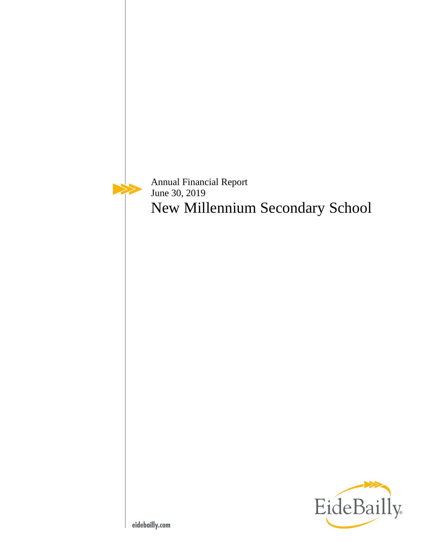Annual Financial Report June 30, 2019 New Millennium Secondary School

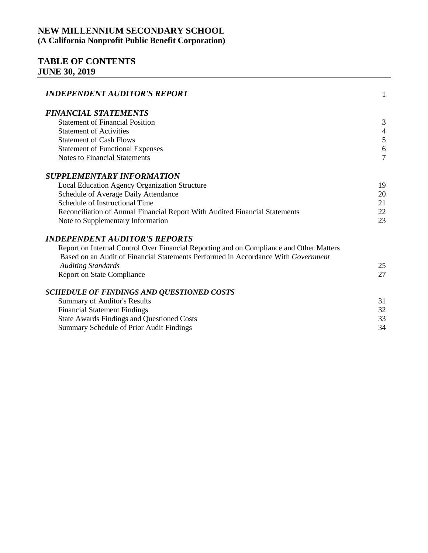# **TABLE OF CONTENTS JUNE 30, 2019**

| <b>INDEPENDENT AUDITOR'S REPORT</b>                                                                                                                                          | $\mathbf{1}$   |
|------------------------------------------------------------------------------------------------------------------------------------------------------------------------------|----------------|
| <b>FINANCIAL STATEMENTS</b>                                                                                                                                                  |                |
| <b>Statement of Financial Position</b>                                                                                                                                       | 3              |
| <b>Statement of Activities</b>                                                                                                                                               | $\overline{4}$ |
| <b>Statement of Cash Flows</b>                                                                                                                                               | 5              |
| <b>Statement of Functional Expenses</b>                                                                                                                                      | 6              |
| <b>Notes to Financial Statements</b>                                                                                                                                         | 7              |
| <b>SUPPLEMENTARY INFORMATION</b>                                                                                                                                             |                |
| Local Education Agency Organization Structure                                                                                                                                | 19             |
| Schedule of Average Daily Attendance                                                                                                                                         | 20             |
| Schedule of Instructional Time                                                                                                                                               | 21             |
| Reconciliation of Annual Financial Report With Audited Financial Statements                                                                                                  | 22             |
| Note to Supplementary Information                                                                                                                                            | 23             |
| <b>INDEPENDENT AUDITOR'S REPORTS</b>                                                                                                                                         |                |
| Report on Internal Control Over Financial Reporting and on Compliance and Other Matters<br>Based on an Audit of Financial Statements Performed in Accordance With Government |                |
| <b>Auditing Standards</b>                                                                                                                                                    | 25             |
| <b>Report on State Compliance</b>                                                                                                                                            | 27             |
| <b>SCHEDULE OF FINDINGS AND QUESTIONED COSTS</b>                                                                                                                             |                |
| <b>Summary of Auditor's Results</b>                                                                                                                                          | 31             |
| <b>Financial Statement Findings</b>                                                                                                                                          | 32             |
| <b>State Awards Findings and Questioned Costs</b>                                                                                                                            | 33             |
| Summary Schedule of Prior Audit Findings                                                                                                                                     | 34             |
|                                                                                                                                                                              |                |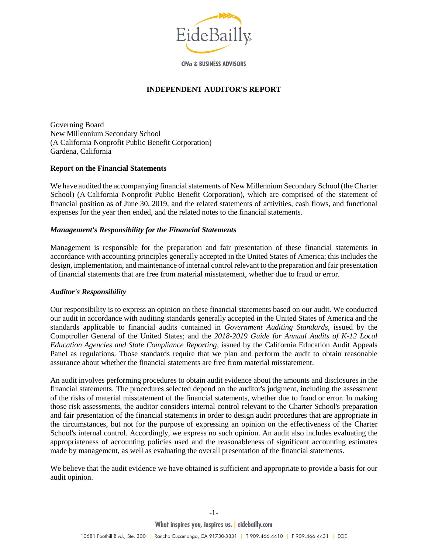

**CPAs & BUSINESS ADVISORS** 

#### **INDEPENDENT AUDITOR'S REPORT**

<span id="page-2-0"></span>Governing Board New Millennium Secondary School (A California Nonprofit Public Benefit Corporation) Gardena, California

#### **Report on the Financial Statements**

We have audited the accompanying financial statements of New Millennium Secondary School (the Charter School) (A California Nonprofit Public Benefit Corporation), which are comprised of the statement of financial position as of June 30, 2019, and the related statements of activities, cash flows, and functional expenses for the year then ended, and the related notes to the financial statements.

#### *Management's Responsibility for the Financial Statements*

Management is responsible for the preparation and fair presentation of these financial statements in accordance with accounting principles generally accepted in the United States of America; this includes the design, implementation, and maintenance of internal control relevant to the preparation and fair presentation of financial statements that are free from material misstatement, whether due to fraud or error.

#### *Auditor's Responsibility*

Our responsibility is to express an opinion on these financial statements based on our audit. We conducted our audit in accordance with auditing standards generally accepted in the United States of America and the standards applicable to financial audits contained in *Government Auditing Standards,* issued by the Comptroller General of the United States; and the *2018-2019 Guide for Annual Audits of K-12 Local Education Agencies and State Compliance Reporting*, issued by the California Education Audit Appeals Panel as regulations. Those standards require that we plan and perform the audit to obtain reasonable assurance about whether the financial statements are free from material misstatement.

An audit involves performing procedures to obtain audit evidence about the amounts and disclosures in the financial statements. The procedures selected depend on the auditor's judgment, including the assessment of the risks of material misstatement of the financial statements, whether due to fraud or error. In making those risk assessments, the auditor considers internal control relevant to the Charter School's preparation and fair presentation of the financial statements in order to design audit procedures that are appropriate in the circumstances, but not for the purpose of expressing an opinion on the effectiveness of the Charter School's internal control. Accordingly, we express no such opinion. An audit also includes evaluating the appropriateness of accounting policies used and the reasonableness of significant accounting estimates made by management, as well as evaluating the overall presentation of the financial statements.

We believe that the audit evidence we have obtained is sufficient and appropriate to provide a basis for our audit opinion.

-1-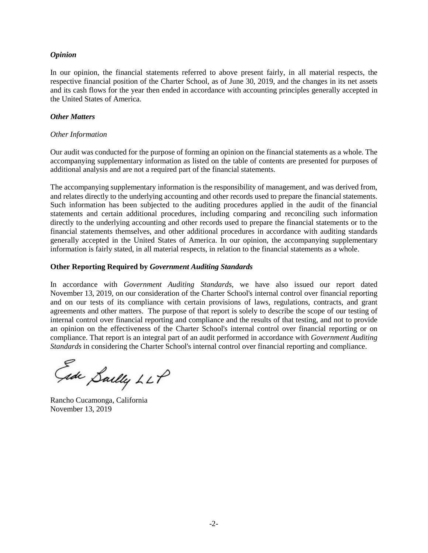#### *Opinion*

In our opinion, the financial statements referred to above present fairly, in all material respects, the respective financial position of the Charter School, as of June 30, 2019, and the changes in its net assets and its cash flows for the year then ended in accordance with accounting principles generally accepted in the United States of America.

#### *Other Matters*

#### *Other Information*

Our audit was conducted for the purpose of forming an opinion on the financial statements as a whole. The accompanying supplementary information as listed on the table of contents are presented for purposes of additional analysis and are not a required part of the financial statements.

The accompanying supplementary information is the responsibility of management, and was derived from, and relates directly to the underlying accounting and other records used to prepare the financial statements. Such information has been subjected to the auditing procedures applied in the audit of the financial statements and certain additional procedures, including comparing and reconciling such information directly to the underlying accounting and other records used to prepare the financial statements or to the financial statements themselves, and other additional procedures in accordance with auditing standards generally accepted in the United States of America. In our opinion, the accompanying supplementary information is fairly stated, in all material respects, in relation to the financial statements as a whole.

### **Other Reporting Required by** *Government Auditing Standards*

In accordance with *Government Auditing Standards*, we have also issued our report dated November 13, 2019, on our consideration of the Charter School's internal control over financial reporting and on our tests of its compliance with certain provisions of laws, regulations, contracts, and grant agreements and other matters. The purpose of that report is solely to describe the scope of our testing of internal control over financial reporting and compliance and the results of that testing, and not to provide an opinion on the effectiveness of the Charter School's internal control over financial reporting or on compliance. That report is an integral part of an audit performed in accordance with *Government Auditing Standards* in considering the Charter School's internal control over financial reporting and compliance.

Gide Sailly LLP

Rancho Cucamonga, California November 13, 2019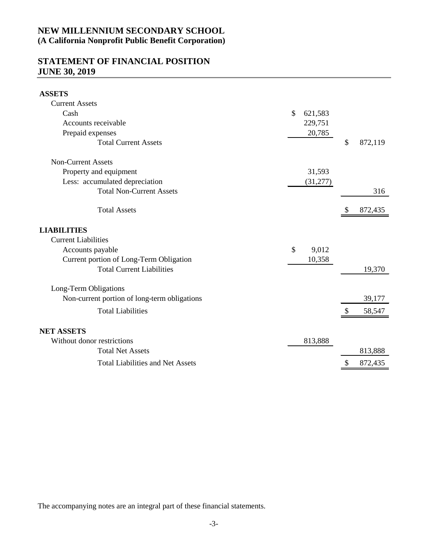## **STATEMENT OF FINANCIAL POSITION JUNE 30, 2019**

<span id="page-4-0"></span>

| <b>ASSETS</b>                                |                          |               |         |
|----------------------------------------------|--------------------------|---------------|---------|
| <b>Current Assets</b>                        |                          |               |         |
| Cash                                         | $\mathcal{S}$<br>621,583 |               |         |
| Accounts receivable                          | 229,751                  |               |         |
| Prepaid expenses                             | 20,785                   |               |         |
| <b>Total Current Assets</b>                  |                          | $\mathcal{S}$ | 872,119 |
| <b>Non-Current Assets</b>                    |                          |               |         |
| Property and equipment                       | 31,593                   |               |         |
| Less: accumulated depreciation               | (31,277)                 |               |         |
| <b>Total Non-Current Assets</b>              |                          |               | 316     |
| <b>Total Assets</b>                          |                          |               | 872,435 |
| <b>LIABILITIES</b>                           |                          |               |         |
| <b>Current Liabilities</b>                   |                          |               |         |
| Accounts payable                             | \$<br>9,012              |               |         |
| Current portion of Long-Term Obligation      | 10,358                   |               |         |
| <b>Total Current Liabilities</b>             |                          |               | 19,370  |
| Long-Term Obligations                        |                          |               |         |
| Non-current portion of long-term obligations |                          |               | 39,177  |
| <b>Total Liabilities</b>                     |                          |               | 58,547  |
| <b>NET ASSETS</b>                            |                          |               |         |
| Without donor restrictions                   | 813,888                  |               |         |
| <b>Total Net Assets</b>                      |                          |               | 813,888 |
| <b>Total Liabilities and Net Assets</b>      |                          | \$            | 872,435 |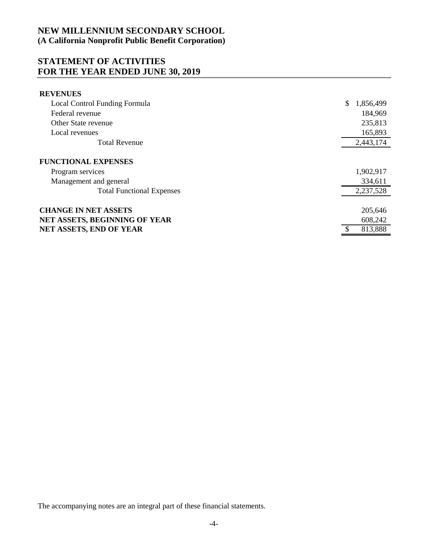## **STATEMENT OF ACTIVITIES FOR THE YEAR ENDED JUNE 30, 2019**

<span id="page-5-0"></span>

| <b>REVENUES</b>                  |                 |
|----------------------------------|-----------------|
| Local Control Funding Formula    | \$<br>1,856,499 |
| Federal revenue                  | 184,969         |
| Other State revenue              | 235,813         |
| Local revenues                   | 165,893         |
| <b>Total Revenue</b>             | 2,443,174       |
| <b>FUNCTIONAL EXPENSES</b>       |                 |
| Program services                 | 1,902,917       |
| Management and general           | 334,611         |
| <b>Total Functional Expenses</b> | 2,237,528       |
| <b>CHANGE IN NET ASSETS</b>      | 205,646         |
| NET ASSETS, BEGINNING OF YEAR    | 608,242         |
| <b>NET ASSETS, END OF YEAR</b>   | 813,888         |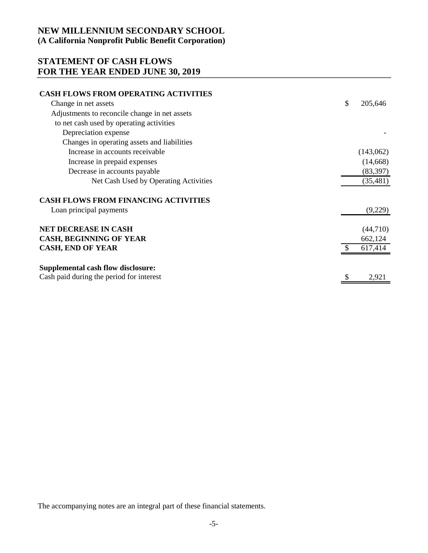# **STATEMENT OF CASH FLOWS FOR THE YEAR ENDED JUNE 30, 2019**

<span id="page-6-0"></span>

| <b>CASH FLOWS FROM OPERATING ACTIVITIES</b>   |               |
|-----------------------------------------------|---------------|
| Change in net assets                          | \$<br>205,646 |
| Adjustments to reconcile change in net assets |               |
| to net cash used by operating activities      |               |
| Depreciation expense                          |               |
| Changes in operating assets and liabilities   |               |
| Increase in accounts receivable               | (143,062)     |
| Increase in prepaid expenses                  | (14,668)      |
| Decrease in accounts payable                  | (83, 397)     |
| Net Cash Used by Operating Activities         | (35, 481)     |
| <b>CASH FLOWS FROM FINANCING ACTIVITIES</b>   |               |
| Loan principal payments                       | (9,229)       |
| <b>NET DECREASE IN CASH</b>                   | (44,710)      |
| <b>CASH, BEGINNING OF YEAR</b>                | 662,124       |
| <b>CASH, END OF YEAR</b>                      | 617,414       |
| <b>Supplemental cash flow disclosure:</b>     |               |
| Cash paid during the period for interest      | 2,921         |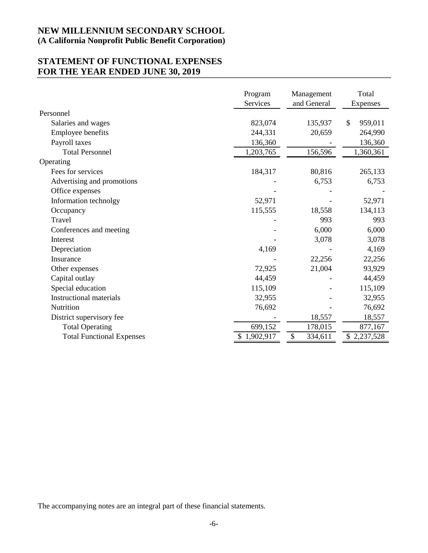## **STATEMENT OF FUNCTIONAL EXPENSES FOR THE YEAR ENDED JUNE 30, 2019**

<span id="page-7-0"></span>

|                                  | Program<br>Services | Management<br>and General | Total<br>Expenses |
|----------------------------------|---------------------|---------------------------|-------------------|
| Personnel                        |                     |                           |                   |
| Salaries and wages               | 823,074             | 135,937                   | \$<br>959,011     |
| Employee benefits                | 244,331             | 20,659                    | 264,990           |
| Payroll taxes                    | 136,360             |                           | 136,360           |
| <b>Total Personnel</b>           | 1,203,765           | 156,596                   | 1,360,361         |
| Operating                        |                     |                           |                   |
| Fees for services                | 184,317             | 80,816                    | 265,133           |
| Advertising and promotions       |                     | 6,753                     | 6,753             |
| Office expenses                  |                     |                           |                   |
| Information technolgy            | 52,971              |                           | 52,971            |
| Occupancy                        | 115,555             | 18,558                    | 134,113           |
| Travel                           |                     | 993                       | 993               |
| Conferences and meeting          |                     | 6,000                     | 6,000             |
| Interest                         |                     | 3,078                     | 3,078             |
| Depreciation                     | 4,169               |                           | 4,169             |
| Insurance                        |                     | 22,256                    | 22,256            |
| Other expenses                   | 72,925              | 21,004                    | 93,929            |
| Capital outlay                   | 44,459              |                           | 44,459            |
| Special education                | 115,109             |                           | 115,109           |
| <b>Instructional materials</b>   | 32,955              |                           | 32,955            |
| <b>Nutrition</b>                 | 76,692              |                           | 76,692            |
| District supervisory fee         |                     | 18,557                    | 18,557            |
| <b>Total Operating</b>           | 699,152             | 178,015                   | 877,167           |
| <b>Total Functional Expenses</b> | \$1,902,917         | \$<br>334,611             | \$2,237,528       |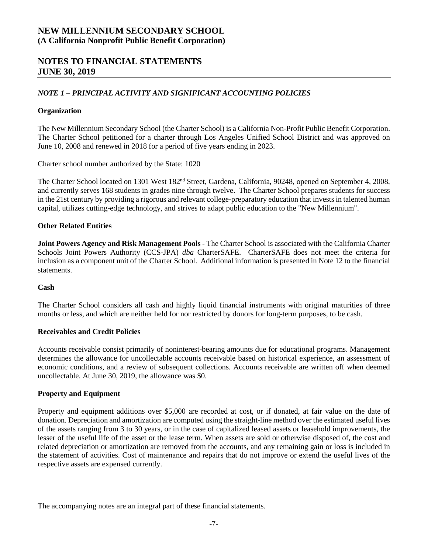## **NOTES TO FINANCIAL STATEMENTS JUNE 30, 2019**

### *NOTE 1 – PRINCIPAL ACTIVITY AND SIGNIFICANT ACCOUNTING POLICIES*

### **Organization**

The New Millennium Secondary School (the Charter School) is a California Non-Profit Public Benefit Corporation. The Charter School petitioned for a charter through Los Angeles Unified School District and was approved on June 10, 2008 and renewed in 2018 for a period of five years ending in 2023.

<span id="page-8-0"></span>Charter school number authorized by the State: 1020

The Charter School located on 1301 West 182<sup>nd</sup> Street, Gardena, California, 90248, opened on September 4, 2008, and currently serves 168 students in grades nine through twelve. The Charter School prepares students for success in the 21st century by providing a rigorous and relevant college-preparatory education that invests in talented human capital, utilizes cutting-edge technology, and strives to adapt public education to the "New Millennium".

### **Other Related Entities**

**Joint Powers Agency and Risk Management Pools -** The Charter School is associated with the California Charter Schools Joint Powers Authority (CCS-JPA) *dba* CharterSAFE. CharterSAFE does not meet the criteria for inclusion as a component unit of the Charter School. Additional information is presented in Note 12 to the financial statements.

### **Cash**

The Charter School considers all cash and highly liquid financial instruments with original maturities of three months or less, and which are neither held for nor restricted by donors for long-term purposes, to be cash.

### **Receivables and Credit Policies**

Accounts receivable consist primarily of noninterest-bearing amounts due for educational programs. Management determines the allowance for uncollectable accounts receivable based on historical experience, an assessment of economic conditions, and a review of subsequent collections. Accounts receivable are written off when deemed uncollectable. At June 30, 2019, the allowance was \$0.

### **Property and Equipment**

Property and equipment additions over \$5,000 are recorded at cost, or if donated, at fair value on the date of donation. Depreciation and amortization are computed using the straight-line method over the estimated useful lives of the assets ranging from 3 to 30 years, or in the case of capitalized leased assets or leasehold improvements, the lesser of the useful life of the asset or the lease term. When assets are sold or otherwise disposed of, the cost and related depreciation or amortization are removed from the accounts, and any remaining gain or loss is included in the statement of activities. Cost of maintenance and repairs that do not improve or extend the useful lives of the respective assets are expensed currently.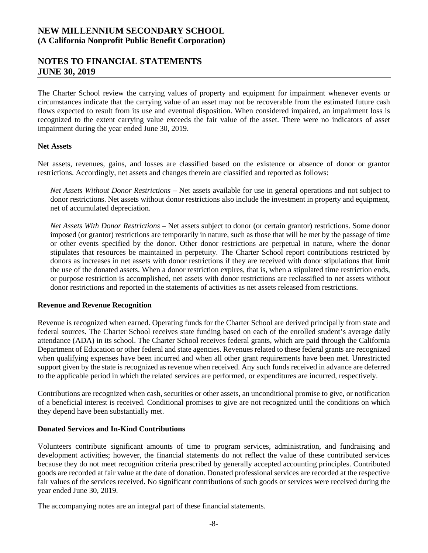## **NOTES TO FINANCIAL STATEMENTS JUNE 30, 2019**

The Charter School review the carrying values of property and equipment for impairment whenever events or circumstances indicate that the carrying value of an asset may not be recoverable from the estimated future cash flows expected to result from its use and eventual disposition. When considered impaired, an impairment loss is recognized to the extent carrying value exceeds the fair value of the asset. There were no indicators of asset impairment during the year ended June 30, 2019.

#### **Net Assets**

Net assets, revenues, gains, and losses are classified based on the existence or absence of donor or grantor restrictions. Accordingly, net assets and changes therein are classified and reported as follows:

*Net Assets Without Donor Restrictions –* Net assets available for use in general operations and not subject to donor restrictions. Net assets without donor restrictions also include the investment in property and equipment, net of accumulated depreciation.

*Net Assets With Donor Restrictions* – Net assets subject to donor (or certain grantor) restrictions. Some donor imposed (or grantor) restrictions are temporarily in nature, such as those that will be met by the passage of time or other events specified by the donor. Other donor restrictions are perpetual in nature, where the donor stipulates that resources be maintained in perpetuity. The Charter School report contributions restricted by donors as increases in net assets with donor restrictions if they are received with donor stipulations that limit the use of the donated assets. When a donor restriction expires, that is, when a stipulated time restriction ends, or purpose restriction is accomplished, net assets with donor restrictions are reclassified to net assets without donor restrictions and reported in the statements of activities as net assets released from restrictions.

### **Revenue and Revenue Recognition**

Revenue is recognized when earned. Operating funds for the Charter School are derived principally from state and federal sources. The Charter School receives state funding based on each of the enrolled student's average daily attendance (ADA) in its school. The Charter School receives federal grants, which are paid through the California Department of Education or other federal and state agencies. Revenues related to these federal grants are recognized when qualifying expenses have been incurred and when all other grant requirements have been met. Unrestricted support given by the state is recognized as revenue when received. Any such funds received in advance are deferred to the applicable period in which the related services are performed, or expenditures are incurred, respectively.

Contributions are recognized when cash, securities or other assets, an unconditional promise to give, or notification of a beneficial interest is received. Conditional promises to give are not recognized until the conditions on which they depend have been substantially met.

### **Donated Services and In-Kind Contributions**

Volunteers contribute significant amounts of time to program services, administration, and fundraising and development activities; however, the financial statements do not reflect the value of these contributed services because they do not meet recognition criteria prescribed by generally accepted accounting principles. Contributed goods are recorded at fair value at the date of donation. Donated professional services are recorded at the respective fair values of the services received. No significant contributions of such goods or services were received during the year ended June 30, 2019.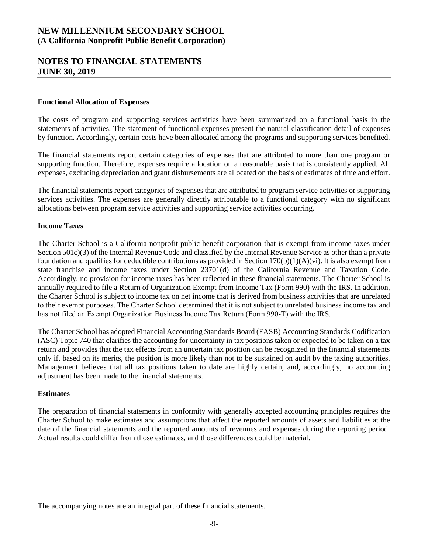### **NOTES TO FINANCIAL STATEMENTS JUNE 30, 2019**

#### **Functional Allocation of Expenses**

The costs of program and supporting services activities have been summarized on a functional basis in the statements of activities. The statement of functional expenses present the natural classification detail of expenses by function. Accordingly, certain costs have been allocated among the programs and supporting services benefited.

The financial statements report certain categories of expenses that are attributed to more than one program or supporting function. Therefore, expenses require allocation on a reasonable basis that is consistently applied. All expenses, excluding depreciation and grant disbursements are allocated on the basis of estimates of time and effort.

The financial statements report categories of expenses that are attributed to program service activities or supporting services activities. The expenses are generally directly attributable to a functional category with no significant allocations between program service activities and supporting service activities occurring.

#### **Income Taxes**

The Charter School is a California nonprofit public benefit corporation that is exempt from income taxes under Section 501c)(3) of the Internal Revenue Code and classified by the Internal Revenue Service as other than a private foundation and qualifies for deductible contributions as provided in Section 170(b)(1)(A)(vi). It is also exempt from state franchise and income taxes under Section 23701(d) of the California Revenue and Taxation Code. Accordingly, no provision for income taxes has been reflected in these financial statements. The Charter School is annually required to file a Return of Organization Exempt from Income Tax (Form 990) with the IRS. In addition, the Charter School is subject to income tax on net income that is derived from business activities that are unrelated to their exempt purposes. The Charter School determined that it is not subject to unrelated business income tax and has not filed an Exempt Organization Business Income Tax Return (Form 990‐T) with the IRS.

The Charter School has adopted Financial Accounting Standards Board (FASB) Accounting Standards Codification (ASC) Topic 740 that clarifies the accounting for uncertainty in tax positions taken or expected to be taken on a tax return and provides that the tax effects from an uncertain tax position can be recognized in the financial statements only if, based on its merits, the position is more likely than not to be sustained on audit by the taxing authorities. Management believes that all tax positions taken to date are highly certain, and, accordingly, no accounting adjustment has been made to the financial statements.

#### **Estimates**

The preparation of financial statements in conformity with generally accepted accounting principles requires the Charter School to make estimates and assumptions that affect the reported amounts of assets and liabilities at the date of the financial statements and the reported amounts of revenues and expenses during the reporting period. Actual results could differ from those estimates, and those differences could be material.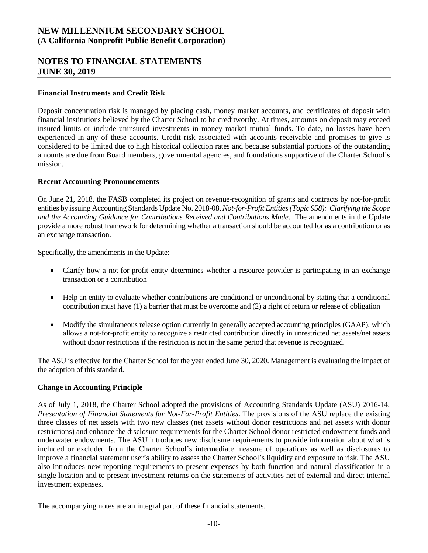# **NOTES TO FINANCIAL STATEMENTS JUNE 30, 2019**

### **Financial Instruments and Credit Risk**

Deposit concentration risk is managed by placing cash, money market accounts, and certificates of deposit with financial institutions believed by the Charter School to be creditworthy. At times, amounts on deposit may exceed insured limits or include uninsured investments in money market mutual funds. To date, no losses have been experienced in any of these accounts. Credit risk associated with accounts receivable and promises to give is considered to be limited due to high historical collection rates and because substantial portions of the outstanding amounts are due from Board members, governmental agencies, and foundations supportive of the Charter School's mission.

### **Recent Accounting Pronouncements**

On June 21, 2018, the FASB completed its project on revenue-recognition of grants and contracts by not-for-profit entities by issuing Accounting Standards Update No. 2018-08, *Not-for-Profit Entities (Topic 958): Clarifying the Scope and the Accounting Guidance for Contributions Received and Contributions Made*.The amendments in the Update provide a more robust framework for determining whether a transaction should be accounted for as a contribution or as an exchange transaction.

Specifically, the amendments in the Update:

- Clarify how a not-for-profit entity determines whether a resource provider is participating in an exchange transaction or a contribution
- Help an entity to evaluate whether contributions are conditional or unconditional by stating that a conditional contribution must have (1) a barrier that must be overcome and (2) a right of return or release of obligation
- Modify the simultaneous release option currently in generally accepted accounting principles (GAAP), which allows a not-for-profit entity to recognize a restricted contribution directly in unrestricted net assets/net assets without donor restrictions if the restriction is not in the same period that revenue is recognized.

The ASU is effective for the Charter School for the year ended June 30, 2020. Management is evaluating the impact of the adoption of this standard.

### **Change in Accounting Principle**

As of July 1, 2018, the Charter School adopted the provisions of Accounting Standards Update (ASU) 2016-14, *Presentation of Financial Statements for Not-For-Profit Entities*. The provisions of the ASU replace the existing three classes of net assets with two new classes (net assets without donor restrictions and net assets with donor restrictions) and enhance the disclosure requirements for the Charter School donor restricted endowment funds and underwater endowments. The ASU introduces new disclosure requirements to provide information about what is included or excluded from the Charter School's intermediate measure of operations as well as disclosures to improve a financial statement user's ability to assess the Charter School's liquidity and exposure to risk. The ASU also introduces new reporting requirements to present expenses by both function and natural classification in a single location and to present investment returns on the statements of activities net of external and direct internal investment expenses.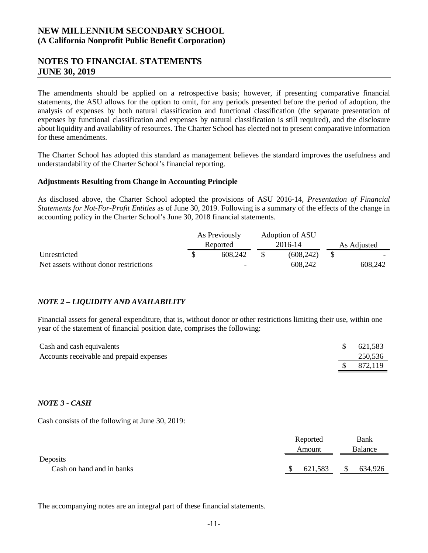## **NOTES TO FINANCIAL STATEMENTS JUNE 30, 2019**

The amendments should be applied on a retrospective basis; however, if presenting comparative financial statements, the ASU allows for the option to omit, for any periods presented before the period of adoption, the analysis of expenses by both natural classification and functional classification (the separate presentation of expenses by functional classification and expenses by natural classification is still required), and the disclosure about liquidity and availability of resources. The Charter School has elected not to present comparative information for these amendments.

The Charter School has adopted this standard as management believes the standard improves the usefulness and understandability of the Charter School's financial reporting.

#### **Adjustments Resulting from Change in Accounting Principle**

As disclosed above, the Charter School adopted the provisions of ASU 2016-14, *Presentation of Financial Statements for Not-For-Profit Entities* as of June 30, 2019. Following is a summary of the effects of the change in accounting policy in the Charter School's June 30, 2018 financial statements.

|                                       |  | Adoption of ASU<br>As Previously |  |           |  |             |  |
|---------------------------------------|--|----------------------------------|--|-----------|--|-------------|--|
|                                       |  | Reported                         |  | 2016-14   |  | As Adjusted |  |
| Unrestricted                          |  | 608.242                          |  | (608.242) |  |             |  |
| Net assets without donor restrictions |  | -                                |  | 608,242   |  | 608,242     |  |

### *NOTE 2 – LIQUIDITY AND AVAILABILITY*

Financial assets for general expenditure, that is, without donor or other restrictions limiting their use, within one year of the statement of financial position date, comprises the following:

| Cash and cash equivalents                | 621,583 |
|------------------------------------------|---------|
| Accounts receivable and prepaid expenses | 250,536 |
|                                          | 872,119 |

### *NOTE 3 - CASH*

Cash consists of the following at June 30, 2019:

|                           | Reported | Bank    |
|---------------------------|----------|---------|
|                           | Amount   | Balance |
| Deposits                  |          |         |
| Cash on hand and in banks | 621,583  | 634,926 |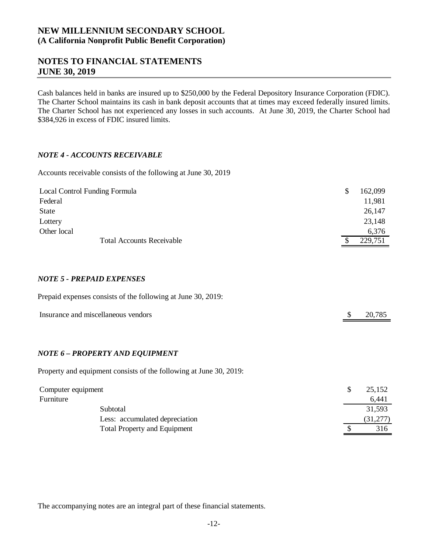## **NOTES TO FINANCIAL STATEMENTS JUNE 30, 2019**

Cash balances held in banks are insured up to \$250,000 by the Federal Depository Insurance Corporation (FDIC). The Charter School maintains its cash in bank deposit accounts that at times may exceed federally insured limits. The Charter School has not experienced any losses in such accounts. At June 30, 2019, the Charter School had \$384,926 in excess of FDIC insured limits.

### *NOTE 4 - ACCOUNTS RECEIVABLE*

Accounts receivable consists of the following at June 30, 2019

| Local Control Funding Formula    | S | 162,099 |
|----------------------------------|---|---------|
| Federal                          |   | 11,981  |
| State                            |   | 26,147  |
| Lottery                          |   | 23,148  |
| Other local                      |   | 6,376   |
| <b>Total Accounts Receivable</b> |   | 229,751 |

### *NOTE 5 - PREPAID EXPENSES*

| Prepaid expenses consists of the following at June 30, 2019: |        |
|--------------------------------------------------------------|--------|
| Insurance and miscellaneous vendors                          | 20,785 |
|                                                              |        |

### *NOTE 6 – PROPERTY AND EQUIPMENT*

Property and equipment consists of the following at June 30, 2019:

| Computer equipment             | 25,152   |
|--------------------------------|----------|
| Furniture                      | 6,441    |
| Subtotal                       | 31,593   |
| Less: accumulated depreciation | (31,277) |
| Total Property and Equipment   | 316      |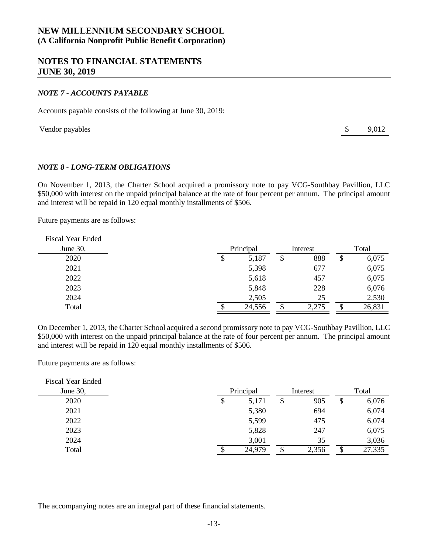### **NOTES TO FINANCIAL STATEMENTS JUNE 30, 2019**

#### *NOTE 7 - ACCOUNTS PAYABLE*

Accounts payable consists of the following at June 30, 2019:

Vendor payables  $\qquad$  9,012

### *NOTE 8 - LONG-TERM OBLIGATIONS*

On November 1, 2013, the Charter School acquired a promissory note to pay VCG-Southbay Pavillion, LLC \$50,000 with interest on the unpaid principal balance at the rate of four percent per annum. The principal amount and interest will be repaid in 120 equal monthly installments of \$506.

Future payments are as follows:

| <b>Fiscal Year Ended</b> |             |    |          |   |        |
|--------------------------|-------------|----|----------|---|--------|
| June 30,                 | Principal   |    | Interest |   | Total  |
| 2020                     | \$<br>5,187 | \$ | 888      | S | 6,075  |
| 2021                     | 5,398       |    | 677      |   | 6,075  |
| 2022                     | 5,618       |    | 457      |   | 6,075  |
| 2023                     | 5,848       |    | 228      |   | 6,076  |
| 2024                     | 2,505       |    | 25       |   | 2,530  |
| Total                    | 24,556      | S  | 2,275    |   | 26,831 |

On December 1, 2013, the Charter School acquired a second promissory note to pay VCG-Southbay Pavillion, LLC \$50,000 with interest on the unpaid principal balance at the rate of four percent per annum. The principal amount and interest will be repaid in 120 equal monthly installments of \$506.

Future payments are as follows:

| <b>Fiscal Year Ended</b> |             |    |          |              |
|--------------------------|-------------|----|----------|--------------|
| June 30,                 | Principal   |    | Interest | Total        |
| 2020                     | \$<br>5,171 | \$ | 905      | \$<br>6,076  |
| 2021                     | 5,380       |    | 694      | 6,074        |
| 2022                     | 5,599       |    | 475      | 6,074        |
| 2023                     | 5,828       |    | 247      | 6,075        |
| 2024                     | 3,001       |    | 35       | 3,036        |
| Total                    | 24,979      | ۰D | 2,356    | \$<br>27,335 |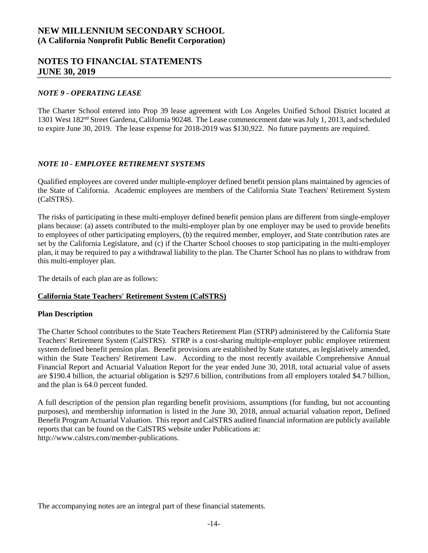### **NOTES TO FINANCIAL STATEMENTS JUNE 30, 2019**

#### *NOTE 9 - OPERATING LEASE*

The Charter School entered into Prop 39 lease agreement with Los Angeles Unified School District located at 1301 West 182nd Street Gardena, California 90248. The Lease commencement date was July 1, 2013, and scheduled to expire June 30, 2019. The lease expense for 2018-2019 was \$130,922. No future payments are required.

### *NOTE 10 - EMPLOYEE RETIREMENT SYSTEMS*

Qualified employees are covered under multiple-employer defined benefit pension plans maintained by agencies of the State of California. Academic employees are members of the California State Teachers' Retirement System (CalSTRS).

The risks of participating in these multi-employer defined benefit pension plans are different from single-employer plans because: (a) assets contributed to the multi-employer plan by one employer may be used to provide benefits to employees of other participating employers, (b) the required member, employer, and State contribution rates are set by the California Legislature, and (c) if the Charter School chooses to stop participating in the multi-employer plan, it may be required to pay a withdrawal liability to the plan. The Charter School has no plans to withdraw from this multi-employer plan.

The details of each plan are as follows:

### **California State Teachers' Retirement System (CalSTRS)**

#### **Plan Description**

The Charter School contributes to the State Teachers Retirement Plan (STRP) administered by the California State Teachers' Retirement System (CalSTRS). STRP is a cost-sharing multiple-employer public employee retirement system defined benefit pension plan. Benefit provisions are established by State statutes, as legislatively amended, within the State Teachers' Retirement Law. According to the most recently available Comprehensive Annual Financial Report and Actuarial Valuation Report for the year ended June 30, 2018, total actuarial value of assets are \$190.4 billion, the actuarial obligation is \$297.6 billion, contributions from all employers totaled \$4.7 billion, and the plan is 64.0 percent funded.

A full description of the pension plan regarding benefit provisions, assumptions (for funding, but not accounting purposes), and membership information is listed in the June 30, 2018, annual actuarial valuation report, Defined Benefit Program Actuarial Valuation. This report and CalSTRS audited financial information are publicly available reports that can be found on the CalSTRS website under Publications at: http://www.calstrs.com/member-publications.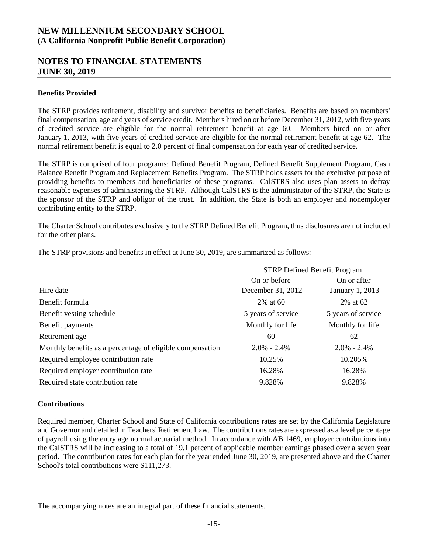## **NOTES TO FINANCIAL STATEMENTS JUNE 30, 2019**

#### **Benefits Provided**

The STRP provides retirement, disability and survivor benefits to beneficiaries. Benefits are based on members' final compensation, age and years of service credit. Members hired on or before December 31, 2012, with five years of credited service are eligible for the normal retirement benefit at age 60. Members hired on or after January 1, 2013, with five years of credited service are eligible for the normal retirement benefit at age 62. The normal retirement benefit is equal to 2.0 percent of final compensation for each year of credited service.

The STRP is comprised of four programs: Defined Benefit Program, Defined Benefit Supplement Program, Cash Balance Benefit Program and Replacement Benefits Program. The STRP holds assets for the exclusive purpose of providing benefits to members and beneficiaries of these programs. CalSTRS also uses plan assets to defray reasonable expenses of administering the STRP. Although CalSTRS is the administrator of the STRP, the State is the sponsor of the STRP and obligor of the trust. In addition, the State is both an employer and nonemployer contributing entity to the STRP.

The Charter School contributes exclusively to the STRP Defined Benefit Program, thus disclosures are not included for the other plans.

The STRP provisions and benefits in effect at June 30, 2019, are summarized as follows:

|                                                           | <b>STRP Defined Benefit Program</b> |                    |  |
|-----------------------------------------------------------|-------------------------------------|--------------------|--|
|                                                           | On or before                        | On or after        |  |
| Hire date                                                 | December 31, 2012                   | January 1, 2013    |  |
| Benefit formula                                           | 2% at 60                            | 2% at 62           |  |
| Benefit vesting schedule                                  | 5 years of service                  | 5 years of service |  |
| Benefit payments                                          | Monthly for life                    | Monthly for life   |  |
| Retirement age                                            | 60                                  | 62                 |  |
| Monthly benefits as a percentage of eligible compensation | $2.0\% - 2.4\%$                     | $2.0\% - 2.4\%$    |  |
| Required employee contribution rate                       | 10.25%                              | 10.205%            |  |
| Required employer contribution rate                       | 16.28%                              | 16.28%             |  |
| Required state contribution rate                          | 9.828%                              | 9.828%             |  |

### **Contributions**

Required member, Charter School and State of California contributions rates are set by the California Legislature and Governor and detailed in Teachers' Retirement Law. The contributions rates are expressed as a level percentage of payroll using the entry age normal actuarial method. In accordance with AB 1469, employer contributions into the CalSTRS will be increasing to a total of 19.1 percent of applicable member earnings phased over a seven year period. The contribution rates for each plan for the year ended June 30, 2019, are presented above and the Charter School's total contributions were \$111,273.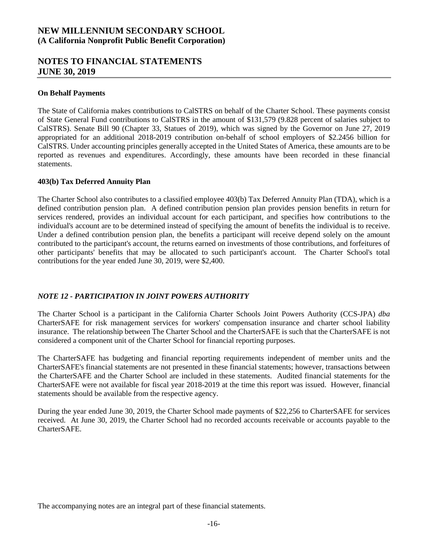### **NOTES TO FINANCIAL STATEMENTS JUNE 30, 2019**

#### **On Behalf Payments**

The State of California makes contributions to CalSTRS on behalf of the Charter School. These payments consist of State General Fund contributions to CalSTRS in the amount of \$131,579 (9.828 percent of salaries subject to CalSTRS). Senate Bill 90 (Chapter 33, Statues of 2019), which was signed by the Governor on June 27, 2019 appropriated for an additional 2018-2019 contribution on-behalf of school employers of \$2.2456 billion for CalSTRS. Under accounting principles generally accepted in the United States of America, these amounts are to be reported as revenues and expenditures. Accordingly, these amounts have been recorded in these financial statements.

#### **403(b) Tax Deferred Annuity Plan**

The Charter School also contributes to a classified employee 403(b) Tax Deferred Annuity Plan (TDA), which is a defined contribution pension plan. A defined contribution pension plan provides pension benefits in return for services rendered, provides an individual account for each participant, and specifies how contributions to the individual's account are to be determined instead of specifying the amount of benefits the individual is to receive. Under a defined contribution pension plan, the benefits a participant will receive depend solely on the amount contributed to the participant's account, the returns earned on investments of those contributions, and forfeitures of other participants' benefits that may be allocated to such participant's account. The Charter School's total contributions for the year ended June 30, 2019, were \$2,400.

### *NOTE 12 - PARTICIPATION IN JOINT POWERS AUTHORITY*

The Charter School is a participant in the California Charter Schools Joint Powers Authority (CCS-JPA) *dba* CharterSAFE for risk management services for workers' compensation insurance and charter school liability insurance. The relationship between The Charter School and the CharterSAFE is such that the CharterSAFE is not considered a component unit of the Charter School for financial reporting purposes.

The CharterSAFE has budgeting and financial reporting requirements independent of member units and the CharterSAFE's financial statements are not presented in these financial statements; however, transactions between the CharterSAFE and the Charter School are included in these statements. Audited financial statements for the CharterSAFE were not available for fiscal year 2018-2019 at the time this report was issued. However, financial statements should be available from the respective agency.

During the year ended June 30, 2019, the Charter School made payments of \$22,256 to CharterSAFE for services received. At June 30, 2019, the Charter School had no recorded accounts receivable or accounts payable to the CharterSAFE.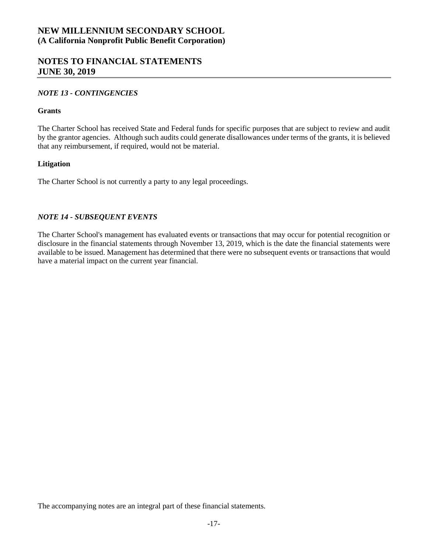### **NOTES TO FINANCIAL STATEMENTS JUNE 30, 2019**

### *NOTE 13 - CONTINGENCIES*

#### **Grants**

The Charter School has received State and Federal funds for specific purposes that are subject to review and audit by the grantor agencies. Although such audits could generate disallowances under terms of the grants, it is believed that any reimbursement, if required, would not be material.

### **Litigation**

The Charter School is not currently a party to any legal proceedings.

### *NOTE 14 - SUBSEQUENT EVENTS*

The Charter School's management has evaluated events or transactions that may occur for potential recognition or disclosure in the financial statements through November 13, 2019, which is the date the financial statements were available to be issued. Management has determined that there were no subsequent events or transactions that would have a material impact on the current year financial.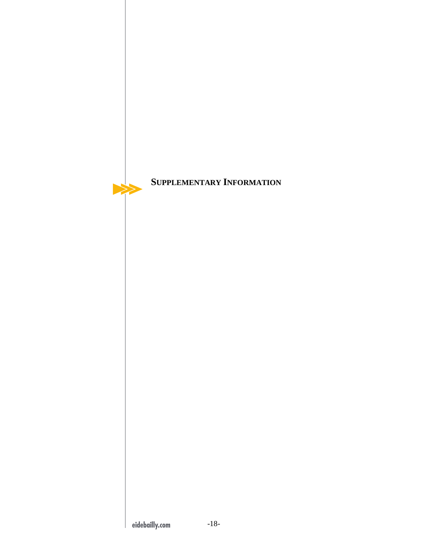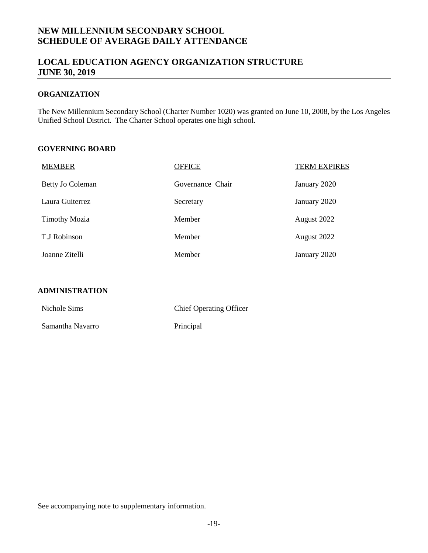# **NEW MILLENNIUM SECONDARY SCHOOL SCHEDULE OF AVERAGE DAILY ATTENDANCE**

# **LOCAL EDUCATION AGENCY ORGANIZATION STRUCTURE JUNE 30, 2019**

### **ORGANIZATION**

<span id="page-20-0"></span>The New Millennium Secondary School (Charter Number 1020) was granted on June 10, 2008, by the Los Angeles Unified School District. The Charter School operates one high school.

### **GOVERNING BOARD**

| <b>MEMBER</b>        | <b>OFFICE</b>    | <b>TERM EXPIRES</b> |
|----------------------|------------------|---------------------|
| Betty Jo Coleman     | Governance Chair | January 2020        |
| Laura Guiterrez      | Secretary        | January 2020        |
| <b>Timothy Mozia</b> | Member           | August 2022         |
| T.J Robinson         | Member           | August 2022         |
| Joanne Zitelli       | Member           | January 2020        |

### **ADMINISTRATION**

| Nichole Sims     | <b>Chief Operating Officer</b> |
|------------------|--------------------------------|
| Samantha Navarro | Principal                      |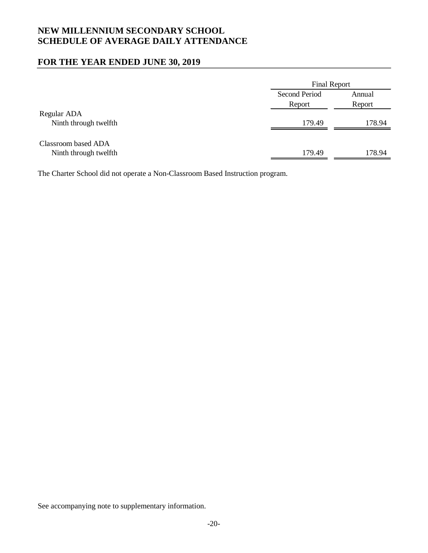# **NEW MILLENNIUM SECONDARY SCHOOL SCHEDULE OF AVERAGE DAILY ATTENDANCE**

## **FOR THE YEAR ENDED JUNE 30, 2019**

|                                              |                                | <b>Final Report</b> |  |  |
|----------------------------------------------|--------------------------------|---------------------|--|--|
|                                              | <b>Second Period</b><br>Report | Annual<br>Report    |  |  |
| Regular ADA<br>Ninth through twelfth         | 179.49                         | 178.94              |  |  |
| Classroom based ADA<br>Ninth through twelfth | 179.49                         | 178.94              |  |  |

<span id="page-21-0"></span>The Charter School did not operate a Non-Classroom Based Instruction program.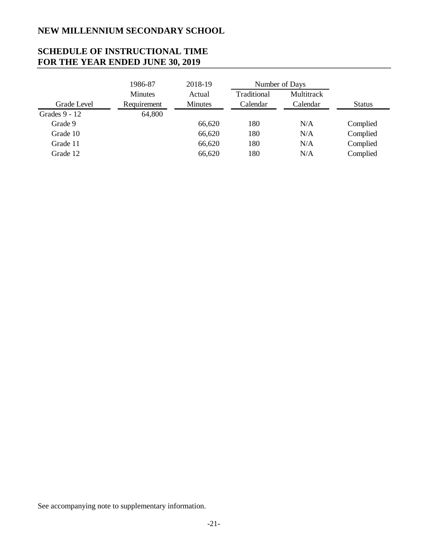# <span id="page-22-0"></span>**NEW MILLENNIUM SECONDARY SCHOOL**

# **SCHEDULE OF INSTRUCTIONAL TIME FOR THE YEAR ENDED JUNE 30, 2019**

|               | 1986-87        | 2018-19        | Number of Days |            |               |
|---------------|----------------|----------------|----------------|------------|---------------|
|               | <b>Minutes</b> | Actual         | Traditional    | Multitrack |               |
| Grade Level   | Requirement    | <b>Minutes</b> | Calendar       | Calendar   | <b>Status</b> |
| Grades 9 - 12 | 64,800         |                |                |            |               |
| Grade 9       |                | 66,620         | 180            | N/A        | Complied      |
| Grade 10      |                | 66,620         | 180            | N/A        | Complied      |
| Grade 11      |                | 66,620         | 180            | N/A        | Complied      |
| Grade 12      |                | 66,620         | 180            | N/A        | Complied      |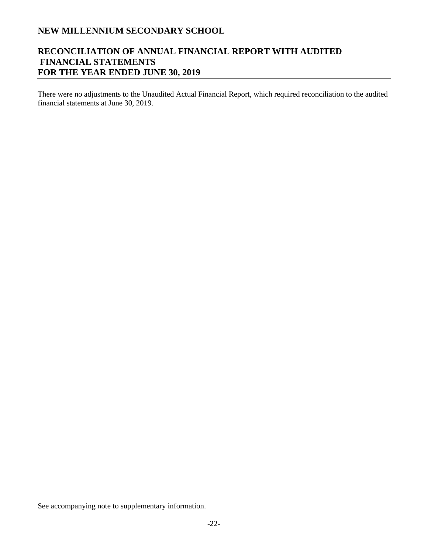# **NEW MILLENNIUM SECONDARY SCHOOL**

# **RECONCILIATION OF ANNUAL FINANCIAL REPORT WITH AUDITED FINANCIAL STATEMENTS FOR THE YEAR ENDED JUNE 30, 2019**

<span id="page-23-0"></span>There were no adjustments to the Unaudited Actual Financial Report, which required reconciliation to the audited financial statements at June 30, 2019.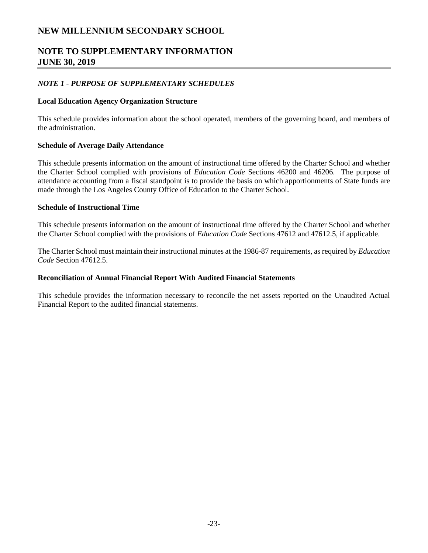# <span id="page-24-0"></span>**NEW MILLENNIUM SECONDARY SCHOOL**

# **NOTE TO SUPPLEMENTARY INFORMATION JUNE 30, 2019**

### *NOTE 1 - PURPOSE OF SUPPLEMENTARY SCHEDULES*

#### **Local Education Agency Organization Structure**

This schedule provides information about the school operated, members of the governing board, and members of the administration.

#### **Schedule of Average Daily Attendance**

This schedule presents information on the amount of instructional time offered by the Charter School and whether the Charter School complied with provisions of *Education Code* Sections 46200 and 46206. The purpose of attendance accounting from a fiscal standpoint is to provide the basis on which apportionments of State funds are made through the Los Angeles County Office of Education to the Charter School.

### **Schedule of Instructional Time**

This schedule presents information on the amount of instructional time offered by the Charter School and whether the Charter School complied with the provisions of *Education Code* Sections 47612 and 47612.5, if applicable.

The Charter School must maintain their instructional minutes at the 1986-87 requirements, as required by *Education Code* Section 47612.5.

#### **Reconciliation of Annual Financial Report With Audited Financial Statements**

This schedule provides the information necessary to reconcile the net assets reported on the Unaudited Actual Financial Report to the audited financial statements.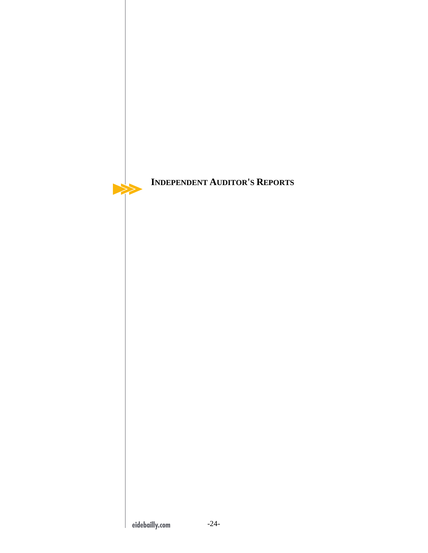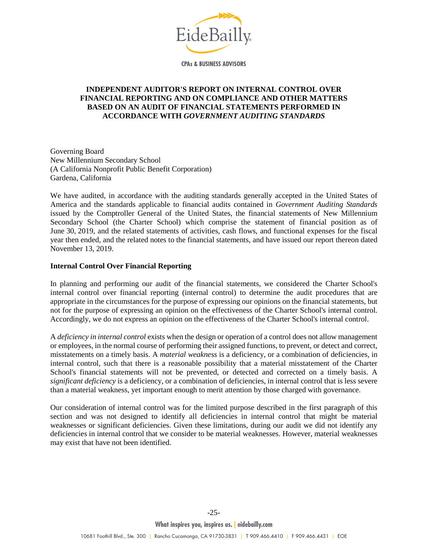

<span id="page-26-0"></span>**CPAs & BUSINESS ADVISORS** 

### **INDEPENDENT AUDITOR'S REPORT ON INTERNAL CONTROL OVER FINANCIAL REPORTING AND ON COMPLIANCE AND OTHER MATTERS BASED ON AN AUDIT OF FINANCIAL STATEMENTS PERFORMED IN ACCORDANCE WITH** *GOVERNMENT AUDITING STANDARDS*

Governing Board New Millennium Secondary School (A California Nonprofit Public Benefit Corporation) Gardena, California

We have audited, in accordance with the auditing standards generally accepted in the United States of America and the standards applicable to financial audits contained in *Government Auditing Standards*  issued by the Comptroller General of the United States, the financial statements of New Millennium Secondary School (the Charter School) which comprise the statement of financial position as of June 30, 2019, and the related statements of activities, cash flows, and functional expenses for the fiscal year then ended, and the related notes to the financial statements, and have issued our report thereon dated November 13, 2019.

### **Internal Control Over Financial Reporting**

In planning and performing our audit of the financial statements, we considered the Charter School's internal control over financial reporting (internal control) to determine the audit procedures that are appropriate in the circumstances for the purpose of expressing our opinions on the financial statements, but not for the purpose of expressing an opinion on the effectiveness of the Charter School's internal control. Accordingly, we do not express an opinion on the effectiveness of the Charter School's internal control.

A *deficiency in internal control* exists when the design or operation of a control does not allow management or employees, in the normal course of performing their assigned functions, to prevent, or detect and correct, misstatements on a timely basis. A *material weakness* is a deficiency, or a combination of deficiencies, in internal control, such that there is a reasonable possibility that a material misstatement of the Charter School's financial statements will not be prevented, or detected and corrected on a timely basis. A *significant deficiency* is a deficiency, or a combination of deficiencies, in internal control that is less severe than a material weakness, yet important enough to merit attention by those charged with governance.

Our consideration of internal control was for the limited purpose described in the first paragraph of this section and was not designed to identify all deficiencies in internal control that might be material weaknesses or significant deficiencies. Given these limitations, during our audit we did not identify any deficiencies in internal control that we consider to be material weaknesses. However, material weaknesses may exist that have not been identified.

-25-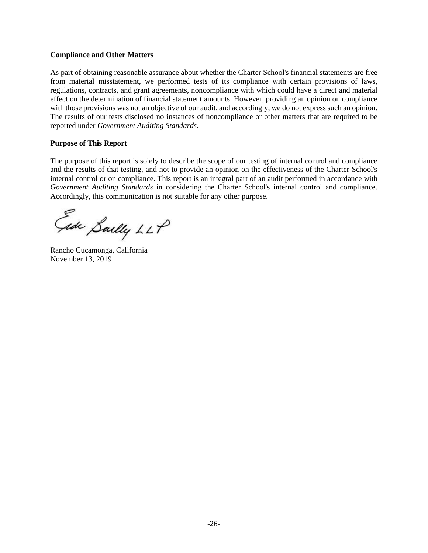#### **Compliance and Other Matters**

As part of obtaining reasonable assurance about whether the Charter School's financial statements are free from material misstatement, we performed tests of its compliance with certain provisions of laws, regulations, contracts, and grant agreements, noncompliance with which could have a direct and material effect on the determination of financial statement amounts. However, providing an opinion on compliance with those provisions was not an objective of our audit, and accordingly, we do not express such an opinion. The results of our tests disclosed no instances of noncompliance or other matters that are required to be reported under *Government Auditing Standards*.

#### **Purpose of This Report**

The purpose of this report is solely to describe the scope of our testing of internal control and compliance and the results of that testing, and not to provide an opinion on the effectiveness of the Charter School's internal control or on compliance. This report is an integral part of an audit performed in accordance with *Government Auditing Standards* in considering the Charter School's internal control and compliance. Accordingly, this communication is not suitable for any other purpose.

Gide Sailly LLP

Rancho Cucamonga, California November 13, 2019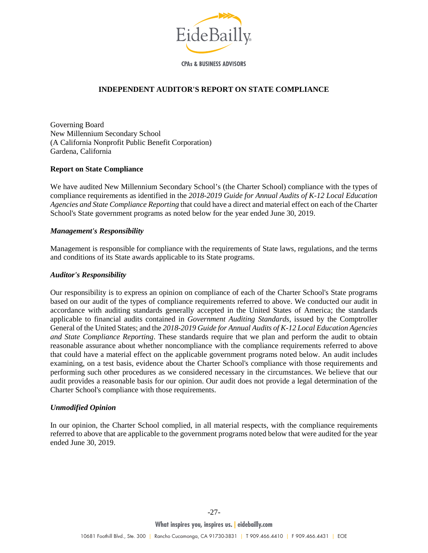

**CPAs & BUSINESS ADVISORS** 

### **INDEPENDENT AUDITOR'S REPORT ON STATE COMPLIANCE**

<span id="page-28-0"></span>Governing Board New Millennium Secondary School (A California Nonprofit Public Benefit Corporation) Gardena, California

### **Report on State Compliance**

We have audited New Millennium Secondary School's (the Charter School) compliance with the types of compliance requirements as identified in the *2018-2019 Guide for Annual Audits of K-12 Local Education Agencies and State Compliance Reporting* that could have a direct and material effect on each of the Charter School's State government programs as noted below for the year ended June 30, 2019.

### *Management's Responsibility*

Management is responsible for compliance with the requirements of State laws, regulations, and the terms and conditions of its State awards applicable to its State programs.

### *Auditor's Responsibility*

Our responsibility is to express an opinion on compliance of each of the Charter School's State programs based on our audit of the types of compliance requirements referred to above. We conducted our audit in accordance with auditing standards generally accepted in the United States of America; the standards applicable to financial audits contained in *Government Auditing Standards*, issued by the Comptroller General of the United States; and the *2018-2019 Guide for Annual Audits of K-12 Local Education Agencies and State Compliance Reporting*. These standards require that we plan and perform the audit to obtain reasonable assurance about whether noncompliance with the compliance requirements referred to above that could have a material effect on the applicable government programs noted below. An audit includes examining, on a test basis, evidence about the Charter School's compliance with those requirements and performing such other procedures as we considered necessary in the circumstances. We believe that our audit provides a reasonable basis for our opinion. Our audit does not provide a legal determination of the Charter School's compliance with those requirements.

### *Unmodified Opinion*

In our opinion, the Charter School complied, in all material respects, with the compliance requirements referred to above that are applicable to the government programs noted below that were audited for the year ended June 30, 2019.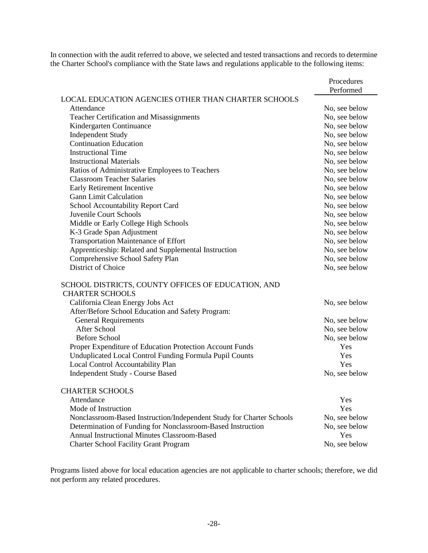In connection with the audit referred to above, we selected and tested transactions and records to determine the Charter School's compliance with the State laws and regulations applicable to the following items:

|                                                                      | Procedures<br>Performed |
|----------------------------------------------------------------------|-------------------------|
| <b>LOCAL EDUCATION AGENCIES OTHER THAN CHARTER SCHOOLS</b>           |                         |
| Attendance                                                           | No, see below           |
| Teacher Certification and Misassignments                             | No, see below           |
| Kindergarten Continuance                                             | No, see below           |
| <b>Independent Study</b>                                             | No, see below           |
| <b>Continuation Education</b>                                        | No, see below           |
| <b>Instructional Time</b>                                            | No, see below           |
| <b>Instructional Materials</b>                                       | No, see below           |
| Ratios of Administrative Employees to Teachers                       | No, see below           |
| <b>Classroom Teacher Salaries</b>                                    | No, see below           |
| Early Retirement Incentive                                           | No, see below           |
| <b>Gann Limit Calculation</b>                                        | No, see below           |
| School Accountability Report Card                                    | No, see below           |
| Juvenile Court Schools                                               | No, see below           |
| Middle or Early College High Schools                                 | No, see below           |
| K-3 Grade Span Adjustment                                            | No, see below           |
| Transportation Maintenance of Effort                                 | No, see below           |
| Apprenticeship: Related and Supplemental Instruction                 | No, see below           |
| Comprehensive School Safety Plan                                     | No, see below           |
| District of Choice                                                   | No, see below           |
| SCHOOL DISTRICTS, COUNTY OFFICES OF EDUCATION, AND                   |                         |
| <b>CHARTER SCHOOLS</b>                                               |                         |
| California Clean Energy Jobs Act                                     | No, see below           |
| After/Before School Education and Safety Program:                    |                         |
| <b>General Requirements</b>                                          | No, see below           |
| <b>After School</b>                                                  | No, see below           |
| <b>Before School</b>                                                 | No, see below           |
| Proper Expenditure of Education Protection Account Funds             | <b>Yes</b>              |
| Unduplicated Local Control Funding Formula Pupil Counts              | Yes                     |
| Local Control Accountability Plan                                    | Yes                     |
| <b>Independent Study - Course Based</b>                              | No, see below           |
| <b>CHARTER SCHOOLS</b>                                               |                         |
| Attendance                                                           | Yes                     |
| Mode of Instruction                                                  | Yes                     |
| Nonclassroom-Based Instruction/Independent Study for Charter Schools | No, see below           |
| Determination of Funding for Nonclassroom-Based Instruction          | No, see below           |
| Annual Instructional Minutes Classroom-Based                         | Yes                     |
| <b>Charter School Facility Grant Program</b>                         | No, see below           |

Programs listed above for local education agencies are not applicable to charter schools; therefore, we did not perform any related procedures.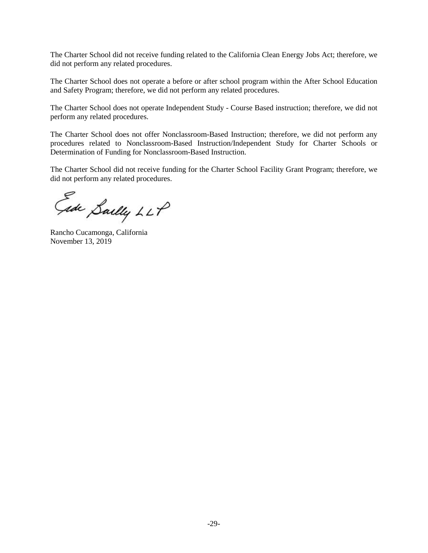The Charter School did not receive funding related to the California Clean Energy Jobs Act; therefore, we did not perform any related procedures.

The Charter School does not operate a before or after school program within the After School Education and Safety Program; therefore, we did not perform any related procedures.

The Charter School does not operate Independent Study - Course Based instruction; therefore, we did not perform any related procedures.

The Charter School does not offer Nonclassroom-Based Instruction; therefore, we did not perform any procedures related to Nonclassroom-Based Instruction/Independent Study for Charter Schools or Determination of Funding for Nonclassroom-Based Instruction.

The Charter School did not receive funding for the Charter School Facility Grant Program; therefore, we did not perform any related procedures.

Gide Sailly LLP

Rancho Cucamonga, California November 13, 2019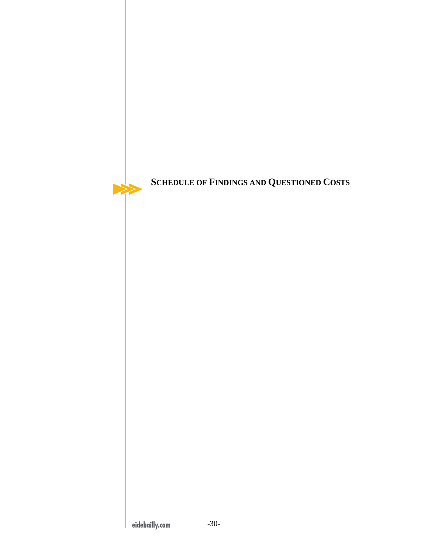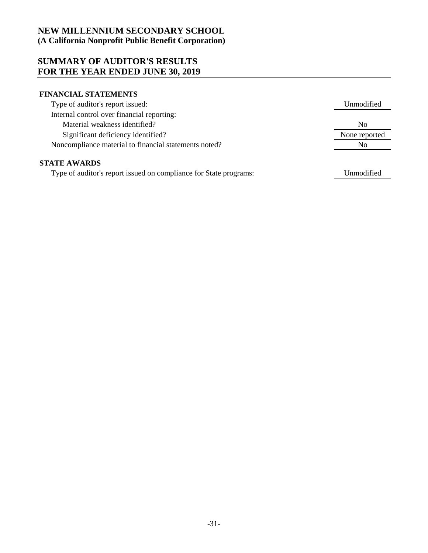## **SUMMARY OF AUDITOR'S RESULTS FOR THE YEAR ENDED JUNE 30, 2019**

### **FINANCIAL STATEMENTS**

| Type of auditor's report issued:                      | Unmodified     |
|-------------------------------------------------------|----------------|
| Internal control over financial reporting:            |                |
| Material weakness identified?                         | N <sub>0</sub> |
| Significant deficiency identified?                    | None reported  |
| Noncompliance material to financial statements noted? | No.            |
| <b>STATE AWARDS</b>                                   |                |

<span id="page-32-0"></span>Type of auditor's report issued on compliance for State programs:

Unmodified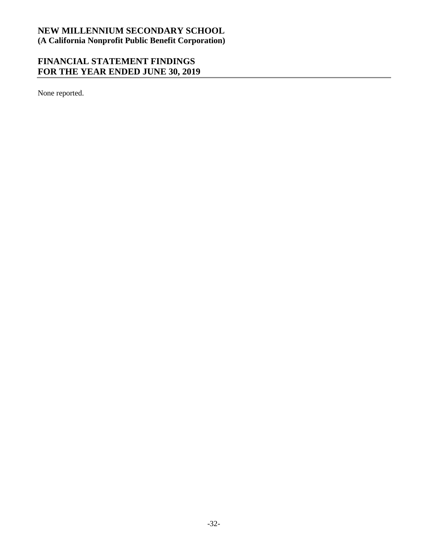# **FINANCIAL STATEMENT FINDINGS FOR THE YEAR ENDED JUNE 30, 2019**

<span id="page-33-0"></span>None reported.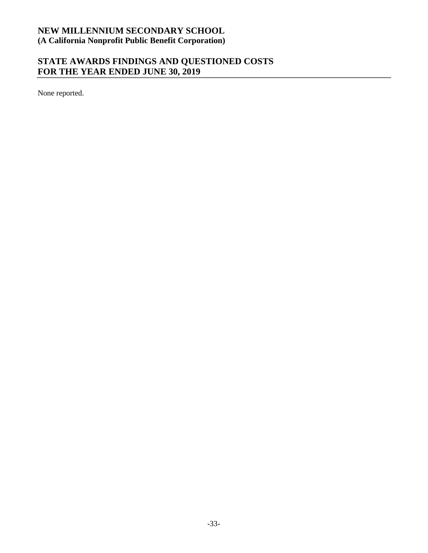# **STATE AWARDS FINDINGS AND QUESTIONED COSTS FOR THE YEAR ENDED JUNE 30, 2019**

<span id="page-34-0"></span>None reported.